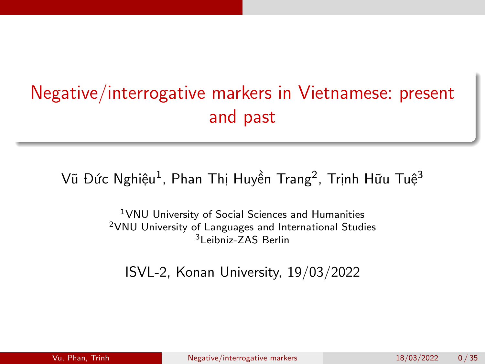# <span id="page-0-0"></span>Negative/interrogative markers in Vietnamese: present and past

#### Vũ Đức Nghiệu<sup>1</sup>, Phan Thị Huyền Trang<sup>2</sup>, Trịnh Hữu Tuệ<sup>3</sup>

<sup>1</sup>VNU University of Social Sciences and Humanities <sup>2</sup>VNU University of Languages and International Studies <sup>3</sup>Leibniz-ZAS Berlin

ISVL-2, Konan University, 19/03/2022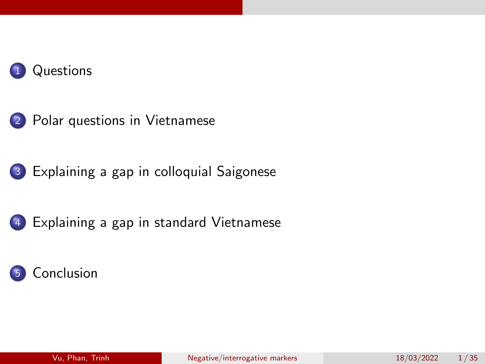





[Explaining a gap in standard Vietnamese](#page-27-0)

#### **[Conclusion](#page-34-0)**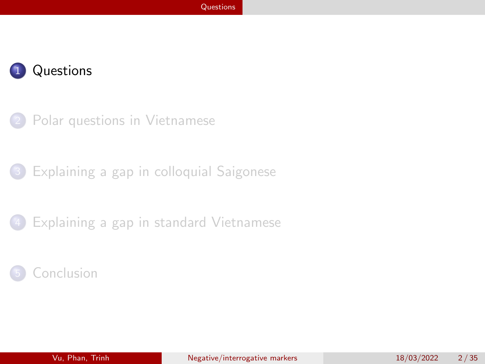<span id="page-2-0"></span>

[Polar questions in Vietnamese](#page-10-0)

[Explaining a gap in colloquial Saigonese](#page-23-0)

[Explaining a gap in standard Vietnamese](#page-27-0)

#### **[Conclusion](#page-34-0)**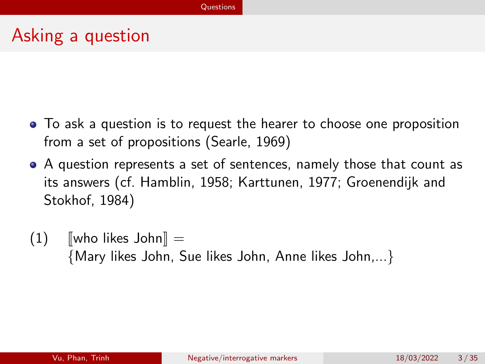# Asking a question

- To ask a question is to request the hearer to choose one proposition from a set of propositions [\(Searle, 1969\)](#page-37-1)
- A question represents a set of sentences, namely those that count as its answers (cf. [Hamblin, 1958;](#page-37-2) [Karttunen, 1977;](#page-37-3) [Groenendijk and](#page-36-0) [Stokhof, 1984\)](#page-36-0)
- $(1)$  [who likes John] = {Mary likes John, Sue likes John, Anne likes John,...}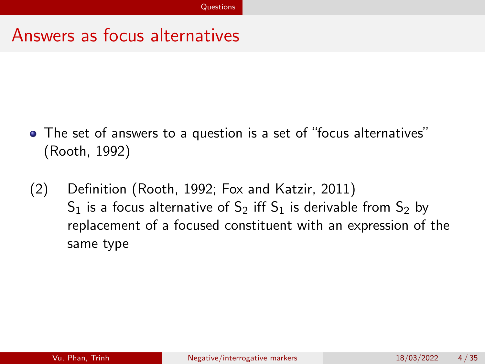#### Answers as focus alternatives

- The set of answers to a question is a set of "focus alternatives" [\(Rooth, 1992\)](#page-37-4)
- (2) Definition [\(Rooth, 1992;](#page-37-4) [Fox and Katzir, 2011\)](#page-36-1)  $S_1$  is a focus alternative of  $S_2$  iff  $S_1$  is derivable from  $S_2$  by replacement of a focused constituent with an expression of the same type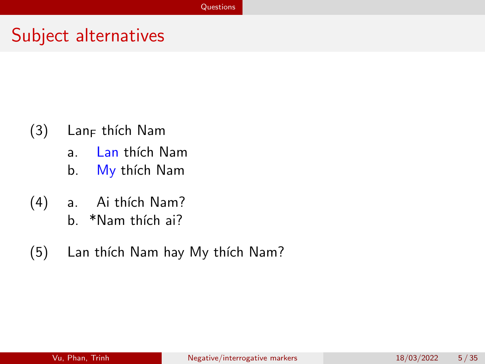### Subject alternatives

- $(3)$  Lan<sub>F</sub> thích Nam
	- a. Lan thích Nam
	- b. My thích Nam
- (4) a. Ai thích Nam?
	- b. \*Nam thích ai?
- (5) Lan thích Nam hay My thích Nam?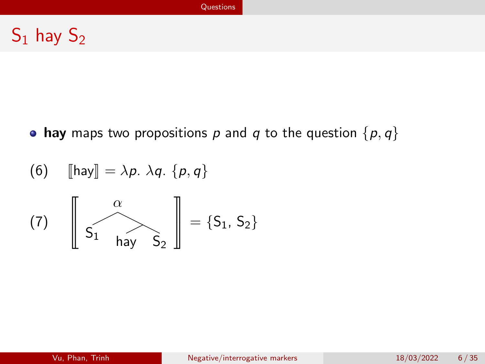# $S_1$  hay  $S_2$

• hay maps two propositions p and q to the question  $\{p, q\}$ 

(6) 
$$
\[\text{hay}\] = \lambda p. \lambda q. \{p, q\}
$$
  
(7)  $\left[\begin{array}{c} \alpha \\ S_1 \end{array}\right] = \{S_1, S_2\}$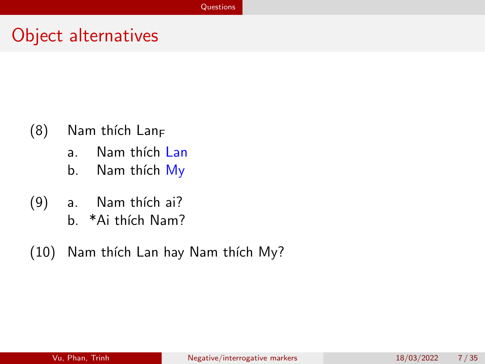### Object alternatives

- $(8)$  Nam thích Lan<sub>F</sub>
	- a. Nam thích Lan
	- b. Nam thích My
- (9) a. Nam thích ai?
	- b. \*Ai thích Nam?
- (10) Nam thích Lan hay Nam thích My?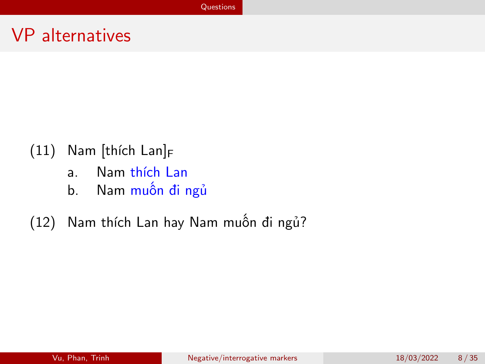### VP alternatives

- $(11)$  Nam [thích Lan]<sub>F</sub>
	- a. Nam thích Lan
	- b. Nam muốn đi ngủ
- (12) Nam thích Lan hay Nam muốn đi ngủ?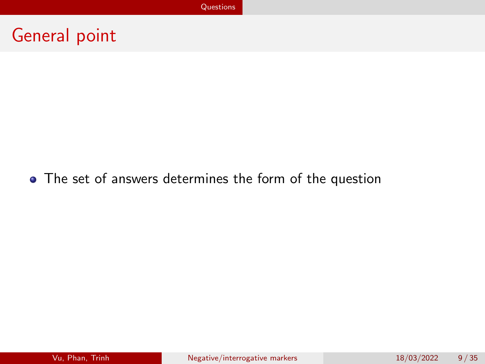# General point

#### • The set of answers determines the form of the question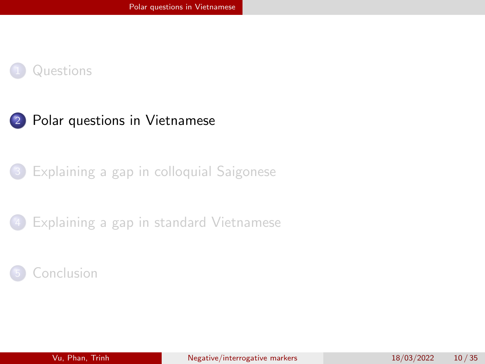<span id="page-10-0"></span>



[Explaining a gap in colloquial Saigonese](#page-23-0)

[Explaining a gap in standard Vietnamese](#page-27-0)

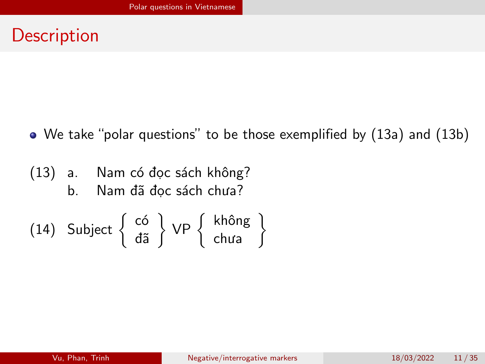### **Description**

We take "polar questions" to be those exemplified by (13a) and (13b)

(13) a. Nam có đọc sách không? b. Nam đã đọc sách chưa?

(14) Subject 
$$
\begin{Bmatrix} c6 \\ d\tilde{a} \end{Bmatrix}
$$
 VP  $\begin{Bmatrix} kh\hat{o}ng \\ chua \end{Bmatrix}$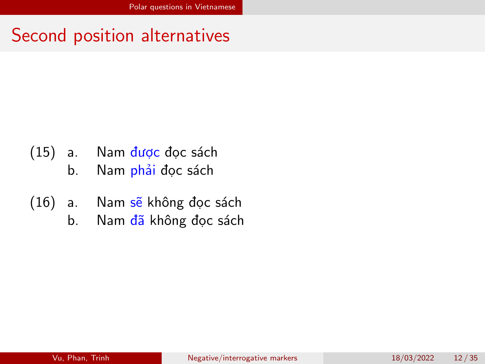### Second position alternatives

- (15) a. Nam được đọc sách
	- b. Nam phải đọc sách
- (16) a. Nam sẽ không đọc sách
	- b. Nam đã không đọc sách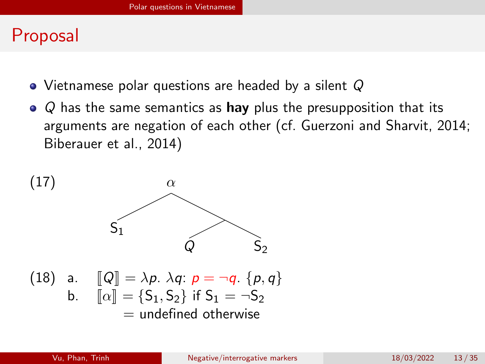### Proposal

- Vietnamese polar questions are headed by a silent Q
- $\bullet$  Q has the same semantics as hay plus the presupposition that its arguments are negation of each other (cf. [Guerzoni and Sharvit, 2014;](#page-36-2) [Biberauer et al., 2014\)](#page-36-3)

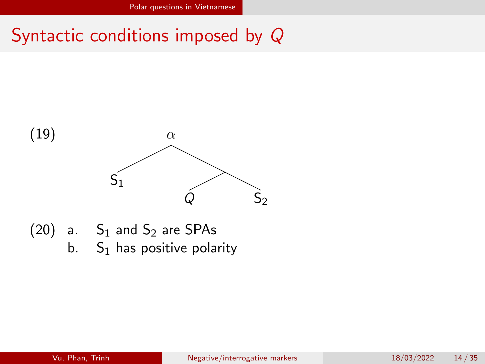### Syntactic conditions imposed by Q



 $(20)$  a. S<sub>1</sub> and S<sub>2</sub> are SPAs b.  $S_1$  has positive polarity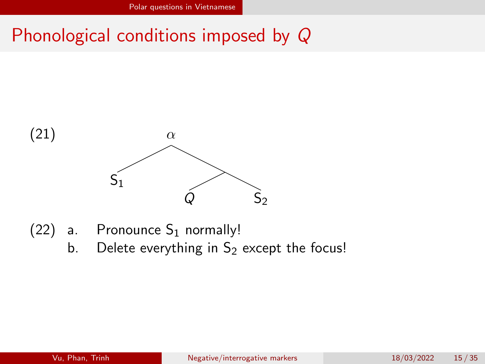# Phonological conditions imposed by Q



- (22) a. Pronounce  $S_1$  normally!
	- b. Delete everything in  $S_2$  except the focus!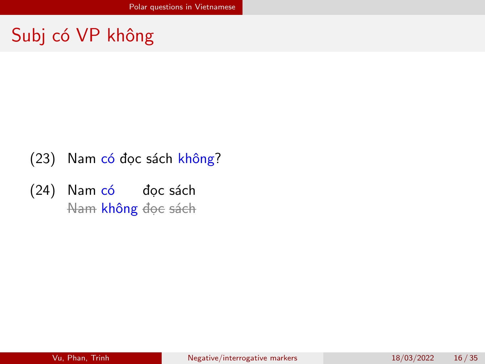# Subj có VP không

- (23) Nam có đọc sách không?
- (24) Nam có đọc sách Nam **không** đọc sách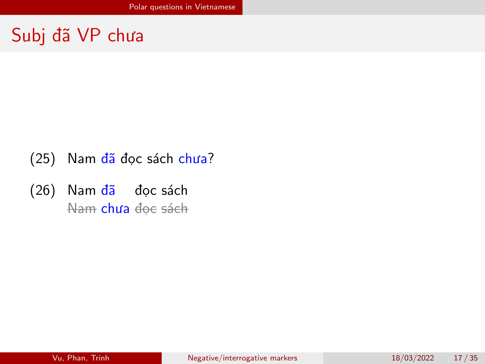# Subj đã VP chưa

- (25) Nam đã đọc sách chưa?
- (26) Nam đã đọc sách <del>Nam</del> **chưa** đọc sách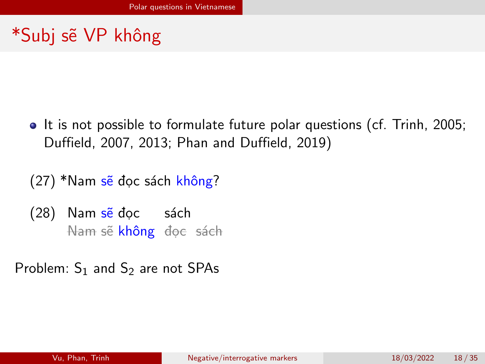# \*Subj sẽ VP không

- It is not possible to formulate future polar questions (cf. [Trinh, 2005;](#page-37-5) [Duffield, 2007,](#page-36-4) [2013;](#page-36-5) [Phan and Duffield, 2019\)](#page-37-6)
- (27) \*Nam sẽ đọc sách không?
- (28) Nam sẽ đọc sách Nam sẽ <mark>không</mark> đọc sách
- Problem:  $S_1$  and  $S_2$  are not SPAs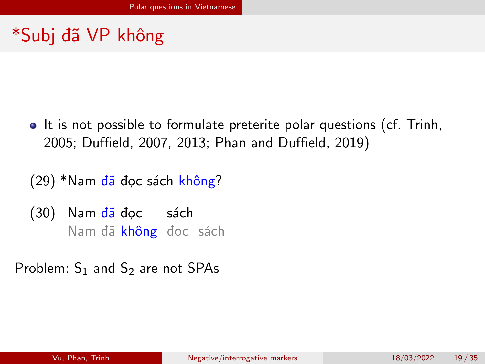# \*Subj đã VP không

• It is not possible to formulate preterite polar questions (cf. [Trinh,](#page-37-5) [2005;](#page-37-5) [Duffield, 2007,](#page-36-4) [2013;](#page-36-5) [Phan and Duffield, 2019\)](#page-37-6)

(29) \*Nam đã đọc sách không?

(30) Nam <mark>đã</mark> đọc sách Nam đã <mark>không</mark> đọc sách

Problem:  $S_1$  and  $S_2$  are not SPAs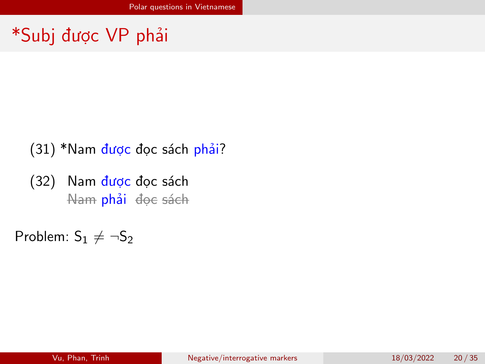# \*Subj được VP phải

- (31) \*Nam được đọc sách phải?
- (32) Nam được đọc sách <del>Nam</del> **phải** đọc sách

Problem:  $S_1 \neq \neg S_2$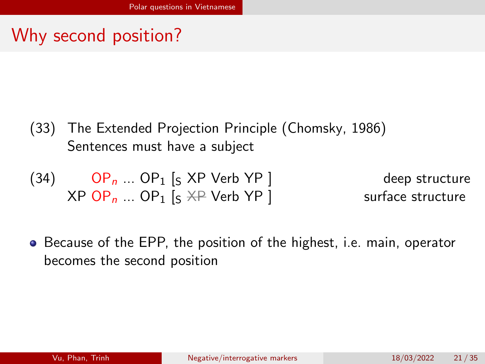# Why second position?

- (33) The Extended Projection Principle [\(Chomsky, 1986\)](#page-36-6) Sentences must have a subject
- $(34)$  OP<sub>n</sub> ... OP<sub>1</sub> [s XP Verb YP ] deep structure  $XPOP_n$  ...  $OP_1$  [s  $XP$  Verb  $YP$ ] surface structure
- **•** Because of the EPP, the position of the highest, i.e. main, operator becomes the second position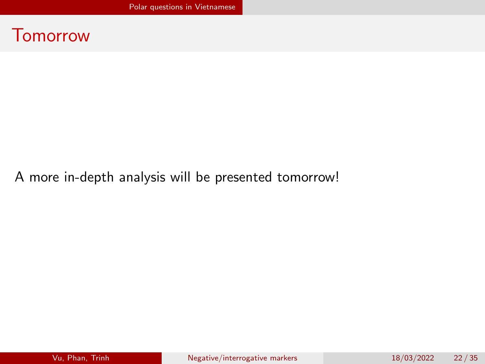

#### A more in-depth analysis will be presented tomorrow!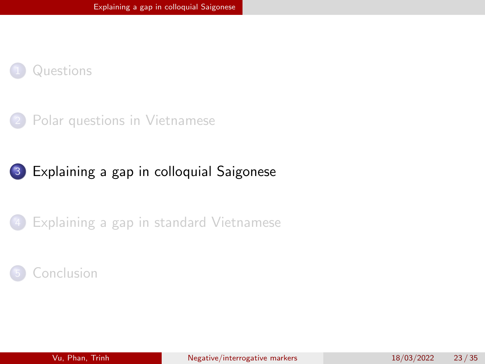<span id="page-23-0"></span>



#### 3 [Explaining a gap in colloquial Saigonese](#page-23-0)

[Explaining a gap in standard Vietnamese](#page-27-0)

#### **[Conclusion](#page-34-0)**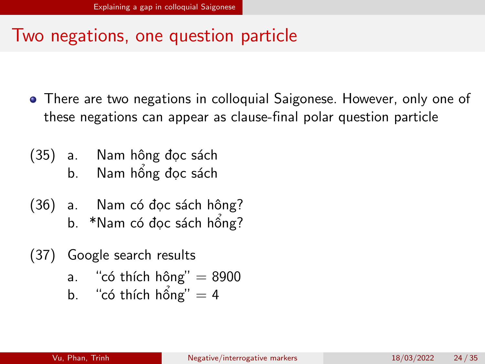### Two negations, one question particle

- There are two negations in colloquial Saigonese. However, only one of these negations can appear as clause-final polar question particle
- (35) a. Nam hông đọc sách b. Nam hổng đọc sách
- (36) a. Nam có đọc sách hông?
	- b. \*Nam có đọc sách hổng?
- (37) Google search results
	- a. "có thích hông"  $= 8900$
	- b. "có thích hống"  $= 4$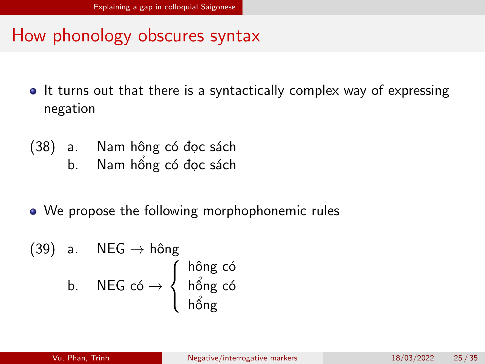#### How phonology obscures syntax

- It turns out that there is a syntactically complex way of expressing negation
- (38) a. Nam hông có đọc sách
	- b. Nam hổng có đọc sách
- We propose the following morphophonemic rules

$$
(39) \quad a. \quad \text{NEG} \rightarrow \text{hông} \\ \text{b.} \quad \text{NEG có} \rightarrow \left\{ \begin{array}{l} \text{hông có} \\ \text{hống có} \\ \text{hổng có} \end{array} \right.
$$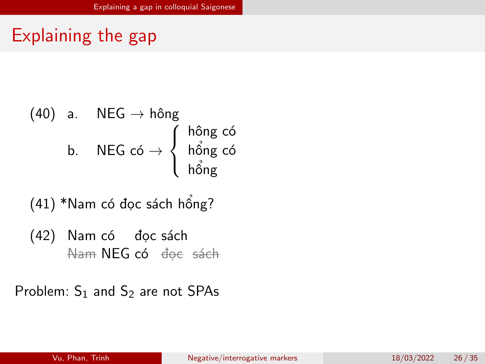# Explaining the gap

$$
\begin{array}{ccc} \text{(40)} & a. & \text{NEG} \rightarrow \hat{\text{hông}} \\ & b. & \text{NEG có} \rightarrow \left\{ \begin{array}{c} \hat{\text{hông có}} \\ \hat{\text{hổng có}} \\ \hat{\text{hổng có}} \end{array} \right. \end{array}
$$

(41) \*Nam có đọc sách hổng?

(42) Nam có đọc sách Nam NEG có đọc sách

Problem:  $S_1$  and  $S_2$  are not SPAs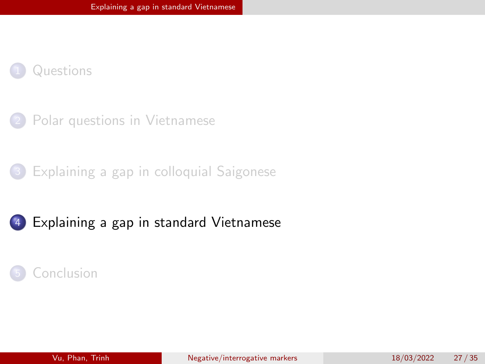<span id="page-27-0"></span>



[Explaining a gap in colloquial Saigonese](#page-23-0)



#### **[Conclusion](#page-34-0)**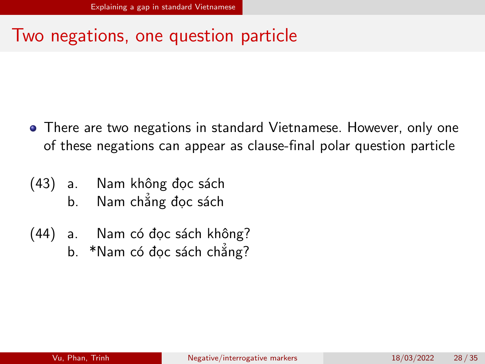### Two negations, one question particle

- There are two negations in standard Vietnamese. However, only one of these negations can appear as clause-final polar question particle
- (43) a. Nam không đọc sách
	- b. Nam chẳng đọc sách
- (44) a. Nam có đọc sách không?
	- b. \*Nam có đọc sách chẳng?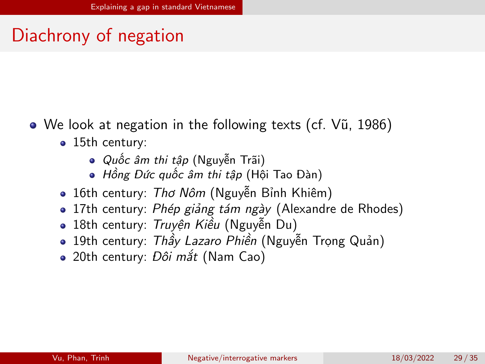# Diachrony of negation

- We look at negation in the following texts (cf. [Vũ, 1986\)](#page-37-7)
	- 15th century:
		- Quốc âm thi tập (Nguyễn Trãi)
		- Hồng Đức quốc âm thi tập (Hội Tao Đàn)
	- · 16th century: Thơ Nôm (Nguyễn Bỉnh Khiêm)
	- 17th century: Phép giảng tám ngày (Alexandre de Rhodes)
	- **18th century: Truyền Kiều (Nguyễn Du)**
	- **19th century: Thầy Lazaro Phiền (Nguyễn Trong Quản)**
	- 20th century: Đôi mắt (Nam Cao)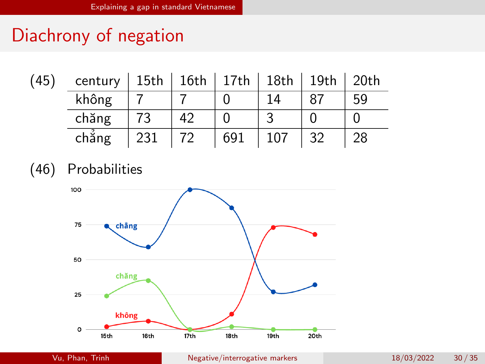# Diachrony of negation

| (45) | century | 15th |    | $16th$   17th   18th |     | $\vert$ 19th | 20th |
|------|---------|------|----|----------------------|-----|--------------|------|
|      | không   |      |    |                      |     |              | 59   |
|      | chăng   |      | 42 |                      |     |              |      |
|      | chắng   | 231  |    | 691                  | 107 | 32           | 28   |

(46) Probabilities

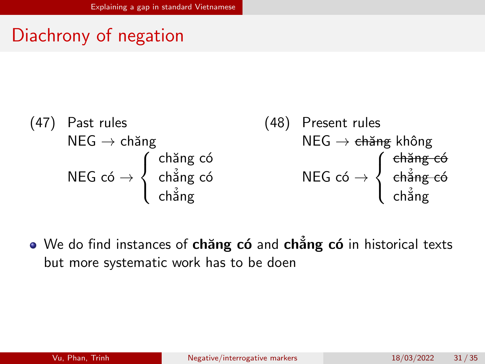# Diachrony of negation

$$
\begin{array}{ll}\n\text{(47)} & \text{Fast rules} \\
\text{NEG} \rightarrow \text{chäng} \\
\text{NEG} \leftrightarrow \text{chäng} \\
\text{NEG} \leftrightarrow \begin{cases}\n\text{chäng có} \\
\text{chäng có} \\
\text{chäng} \\
\text{chäng}\n\end{cases}\n\end{array}\n\quad\n\begin{array}{ll}\n\text{(48)} & \text{Present rules} \\
\text{NEG} \rightarrow \text{ehäng} \\
\text{chäng} \\
\text{chäng}\n\end{array}
$$

We do find instances of chăng có and chẳng có in historical texts but more systematic work has to be doen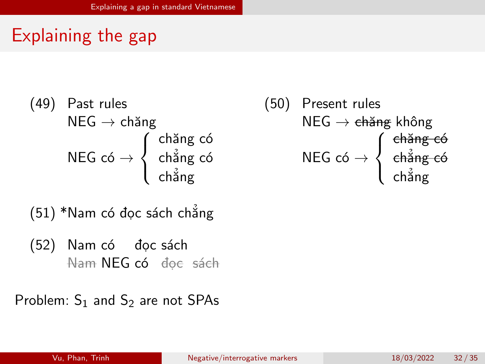# Explaining the gap

$$
(49) \quad \begin{array}{c} \text{Fast rules} \\ \text{NEG} \rightarrow \text{chäng} \\ \text{NEG có} \rightarrow \begin{cases} \text{chäng có} \\ \text{chång có} \\ \text{chång} \end{cases} \end{array}
$$

(51) \*Nam có đọc sách chẳng

(52) Nam có đọc sách Nam NEG có đọc sách

Problem:  $S_1$  and  $S_2$  are not SPAs

$$
(50) \text{ Present rules}
$$
\n
$$
\text{NEG} \rightarrow \text{ehäng} \text{ không}
$$
\n
$$
\text{NEG có} \rightarrow \left\{ \begin{array}{c} \text{ehäng có} \\ \text{ehäng có} \\ \text{chäng} \end{array} \right.
$$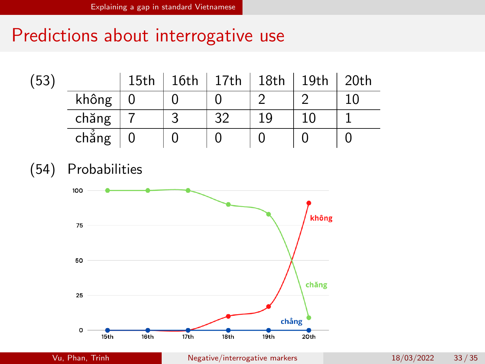# Predictions about interrogative use

| (53` |       | 15th | 16th   17th   18th   19th   20th |    |  |
|------|-------|------|----------------------------------|----|--|
|      | không |      |                                  |    |  |
|      | chăng |      | 20                               | 19 |  |
|      | chẳng |      |                                  |    |  |

(54) Probabilities

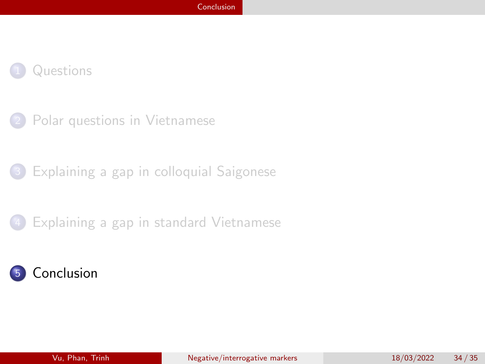#### <span id="page-34-0"></span>**[Questions](#page-2-0)**

- [Polar questions in Vietnamese](#page-10-0)
- [Explaining a gap in colloquial Saigonese](#page-23-0)
- [Explaining a gap in standard Vietnamese](#page-27-0)

#### **[Conclusion](#page-34-0)**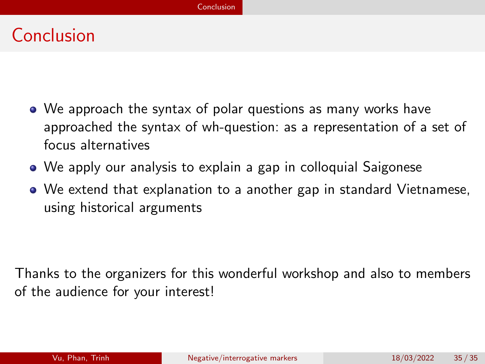# Conclusion

- We approach the syntax of polar questions as many works have approached the syntax of wh-question: as a representation of a set of focus alternatives
- We apply our analysis to explain a gap in colloquial Saigonese
- We extend that explanation to a another gap in standard Vietnamese, using historical arguments

Thanks to the organizers for this wonderful workshop and also to members of the audience for your interest!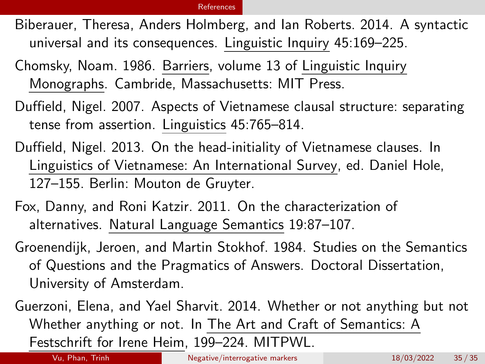#### [References](#page-36-7)

- <span id="page-36-7"></span><span id="page-36-3"></span>Biberauer, Theresa, Anders Holmberg, and Ian Roberts. 2014. A syntactic universal and its consequences. Linguistic Inquiry 45:169–225.
- <span id="page-36-6"></span>Chomsky, Noam. 1986. Barriers, volume 13 of Linguistic Inquiry Monographs. Cambride, Massachusetts: MIT Press.
- <span id="page-36-4"></span>Duffield, Nigel. 2007. Aspects of Vietnamese clausal structure: separating tense from assertion. Linguistics 45:765–814.
- <span id="page-36-5"></span>Duffield, Nigel. 2013. On the head-initiality of Vietnamese clauses. In Linguistics of Vietnamese: An International Survey, ed. Daniel Hole, 127–155. Berlin: Mouton de Gruyter.
- <span id="page-36-1"></span>Fox, Danny, and Roni Katzir. 2011. On the characterization of alternatives. Natural Language Semantics 19:87–107.
- <span id="page-36-0"></span>Groenendijk, Jeroen, and Martin Stokhof. 1984. Studies on the Semantics of Questions and the Pragmatics of Answers. Doctoral Dissertation, University of Amsterdam.
- <span id="page-36-2"></span>Guerzoni, Elena, and Yael Sharvit. 2014. Whether or not anything but not Whether anything or not. In The Art and Craft of Semantics: A Festschrift for Irene Heim, 199–224. MITPWL.